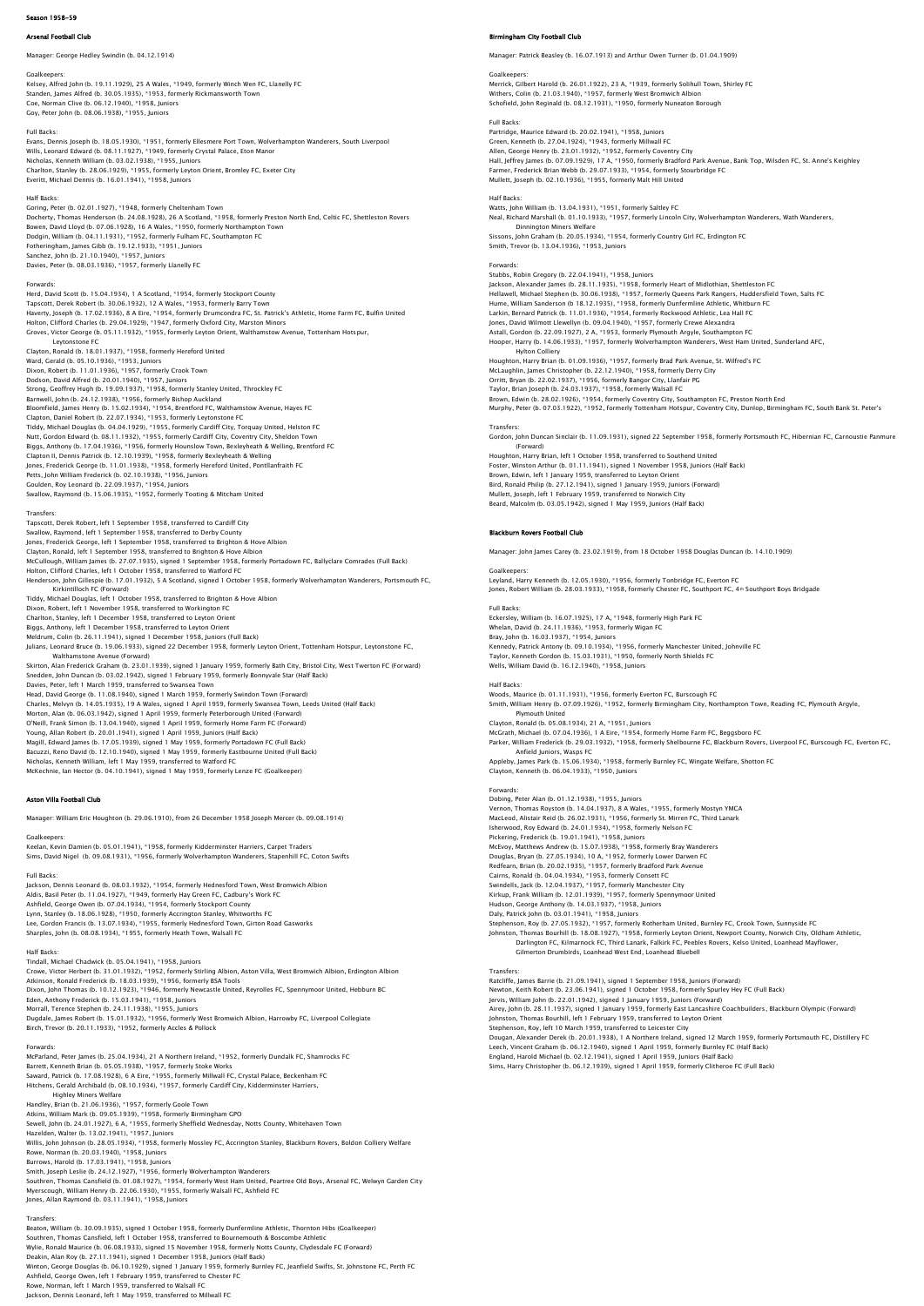### Arsenal Football Club

Manager: George Hedley Swindin (b. 04.12.1914)

Goalkeepers: Kelsey, Alfred John (b. 19.11.1929), 25 A Wales, \*1949, formerly Winch Wen FC, Llanelly FC Standen, James Alfred (b. 30.05.1935), \*1953, formerly Rickmansworth Town<br>Coe, Norman Clive (b. 06.12.1940), \*1958, Juniors<br>Goy, Peter John (b. 08.06.1938), \*1955, Juniors

### Full Backs:

Forwards:

Evans, Dennis Joseph (b. 18.05.1930), \*1951, formerly Ellesmere Port Town, Wolverhampton Wanderers, South Liverpool Wills, Leonard Edward (b. 08.11.1927), \*1949, formerly Crystal Palace, Eton Manor<br>Nicholas, Kenneth William (b. 03.02.1938), \*1955, Juniors<br>Charlton, Stanley (b. 28.06.1929), \*1955, formerly Leyton Orient, Bromley FC, Exet Everitt, Michael Dennis (b. 16.01.1941), \*1958, Juniors

Half Backs:<br>Coring, Peter (b. 02.01.1927), \*1948, formerly Cheltenham Town<br>Docherty, Thomas Henderson (b. 24.08.1928), 26 A Scotland, \*1958, formerly Preston North End, Celtic FC, Shettleston Rovers<br>Bowen, David Lloyd (b.

Herd, David Scott (b. 15.04.1934), 1 A Scotland, \*1954, formerly Stockport County Tapscott, Derek Robert (b. 30.06.1932), 12 A Wales, \*1953, formerly Barry Town<br>Haverty, Joseph (b. 17.02.1936), 8 A Eire, \*1954, formerly Drumcondra FC, St. Patrick's Athletic, Home Farm FC, Bulfin United<br>Holton, Clifford Leytonstone FC

Clayton, Ronald (b. 18.01.1937), \*1958, formerly Hereford United Ward, Gerald (b. 05.10.1936), \*1953, Juniors Dixon, Robert (b. 11.01.1936), \*1957, formerly Crook Town Dodson, David Alfred (b. 20.01.1940), \*1957, Juniors Strong, Geoffrey Hugh (b. 19.09.1937), 1955, formerly Bankly United, Throckley FC<br>Barmeell, John (b. 24.12.1938), 1955, formerly Bishop Auckland<br>Blomemield, James Henry (b. 15.02.1934), 1953, formerly Eytonstone FC<br>Glapton

Transfers:<br>Tapscott, Derek Robert, left 1 September 1958, transferred to Cardiff City<br>Swallow, Raymond, left 1 September 1958, transferred to Derby County<br>Jones, Frederick George, left 1 September 1958, transferred to Brig Clayton, Ronald, left 1 September 1958, transferred to Brighton & Hove Albion<br>McCullough, William James (b. 27.07.1935), signed 1 September 1958, formerly Portadown FC, Ballyclare Comrades (Full Back)<br>Holton, Clifford Char Kirkintilloch FC (Forward)<br>Tiddy, Michael Douglas, Jeft 1 October 1958, transferred to Brighton & Hove Albion Tiddy, Michael Douglas, left 1 October 1958, transferred to Brighton & Hove Albion<br>Dixon, Robert, left 1 November 1958, transferred to Workington FC<br>Charlton, Stanley, left 1 December 1958, transferred to Leyton Orient<br>Big

Walthamstone Avenue (Forward)<br>Skirton, Alan Frederick Graham (b. 23.01.1939), signed 1 January 1959, formerly Bath City, Bristol City, West Twerton FC (Forward)<br>Snedden, John Duncan (b. 03.02.1942), signed 1 February 1959, Charles, Melvyn (b. 14.05.1935), 19 A Wales, signed 1 April 1959, formerly Swansea Town, Leeds United (Half Back)<br>Morton, Alan (b. 06.03.1942), signed 1 April 1959, formerly Peterborough United (Forward)<br>O'Neill, Frank Sim Bacuzzi, Reno David (b. 12.10.1940), signed 1 May 1959, formerly Eastbourne United (Full Back)<br>Nicholas, Kenneth William, left 1 May 1959, transferred to Watford FC<br>McKechnie, Ian Hector (b. 04.10.1941), signed 1 May 1959,

### Aston Villa Football Club

Manager: William Eric Houghton (b. 29.06.1910), from 26 December 1958 Joseph Mercer (b. 09.08.1914)

### Goalkeepers:

Keelan, Kevin Damien (b. 05.01.1941), \*1958, formerly Kidderminster Harriers, Carpet Traders Sims, David Nigel (b. 09.08.1931), \*1956, formerly Wolverhampton Wanderers, Stapenhill FC, Coton Swifts

### Full Backs:

Jackson, Dennis Leonard (b. 08.03.1932), \*1954, formerly Hednesford Town, West Bron Aldis, Basil Peter (b. 11.04.1927), \*1949, formerly Hay Green FC, Cadbury's Work FC Ashfield, George Owen (b. 07.04.1934), \*1954, formerly Stockport County<br>Lynn, Stanley (b. 18.06.1928), \*1950, formerly Accrington Stanley, Whitworths FC<br>Lee, Gordon Francis (b. 13.07.1934), \*1955, formerly Hednesford Town,

Half Backs:<br>Tindall, Michael Chadwick (b. 05.04.1941), \*1958, Juniors<br>Crowe, Victor Herbert (b. 31.01.1932), \*1952, formerly Stirling Albion, Aston Villa, West Bromwich Albion, Erdington Albion<br>Atkinson, Ronald Frederick ( Morrall, Terence Stephen (b. 24.11.1938), \*1955, Juniors<br>Dugdale, James Robert (b. 15.01.1932), \*1956, formerly West Bromwich Albion, Harrowby FC, Liverpool Collegiate<br>Birch, Trevor (b. 20.11.1933), \*1952, formerly Accles

Forwards:<br>McParland, Peter James (b. 25.04.1934), 21 A Northern Ireland, \*1952, formerly Dundalk FC, Shamrocks FC<br>Barrett, Kenneth Brian (b. 05.05.1938), \*1957, formerly Stoke Works<br>Saward, Patrick (b. 17.08.1928), 6 A Eir Hitchens, Gerald Archibald (b. 08.10.1934), \*1957, formerly Cardiff City, Kidderminster Harriers, Highley Miners Welfare<br>Handley, Brian (b. 21.06.1936), \*1957, formerly Goole Town<br>Atkins, William Mark (b. 09.05.1939), \*1958, formerly Birmingham GPO<br>Sewell, John (b. 24.01.1927), 6 A, \*1955, formerly Sheffield Wednesday, Willis, John Johnson (b. 28.05.1934), \*1958, formerly Mossley FC, Accrington Stanley, Blackburn Rovers, Boldon Colliery Welfare Rowe, Norman (b. 20.03.1940), \*1958, Juniors<br>Burrows, Harold (b. 17.03.1941), \*1958, Juniors<br>Smith, Joseph Leslie (b. 24.12.1927), \*1956, formerly Wolverhampton Wanderers Southren, Thomas Cansfield (b. 01.08.1927), \*1954, formerly West Ham United, Peartree Old Boys, Arsenal FC, Welwyn Garden City<br>Myerscough, William Henry (b. 22.06.1930), \*1955, formerly Walsall FC, Ashfield FC<br>Jones, Allan

Transfers: Beaton, William (b. 30.09.1935), signed 1 October 1958, formerly Dunfermline Athletic, Thornton Hibs (Goalkeeper) Southren, Thomas Cansfield, left 1 October 1958, transferred to Bournemouth & Boscombe Athletic Wylie, Ronald Maurice (b. 06.08.1933), signed 15 November 1958, formerly Notts County, Clydesdale FC (Forward)<br>Deakin, Alan Roy (b. 27.11.1941), signed 1 December 1958, Juniors (Half Back)<br>Winton, George Douglas (b. 06.10. Rowe, Norman, left 1 March 1959, transferred to Walsall FC Jackson, Dennis Leonard, left 1 May 1959, transferred to Millwall FC

### Birmingham City Football Club

Manager: Patrick Beasley (b. 16.07.1913) and Arthur Owen Turner (b. 01.04.1909)

Goalkeepers: Merrick, Gilbert Harold (b. 26.01.1922), 23 A, \*1939, formerly Solihull Town, Shirley FC Withers, Colin (b. 21.03.1940), \*1957, formerly West Bromwich Albion Schofield, John Reginald (b. 08.12.1931), \*1950, formerly Nuneaton Borough

Full Backs: Partridge, Maurice Edward (b. 20.02.1941), \*1958, Juniors Green, Kenneth (b. 27.04.1924), \*1943, formerly Millwall FC<br>Allen, George Henry (b. 23.01.1932), \*1952, formerly Coventry City<br>Hall, Jeffrey James (b. 07.09.1929), 17 A, \*1950, formerly Bradford Park Avenue, Bank Top, Wils Mullett, Joseph (b. 02.10.1936), \*1955, formerly Malt Hill United

# Half Backs:

Watts, John William (b. 13.04.1931), \*1951, formerly Saltley FC<br>Neal, Richard Marshall (b. 01.10.1933), \*1957, formerly Lincoln City, Wolverhampton Wanderers, Wath Wanderers,<br>Dinnington Miners Welfare<br>Sissons, John Graham

Smith, Trevor (b. 13.04.1936), \*1953, Juniors

### Forwards:

Stubbs, Robin Gregory (b. 22.04.1941), \*1958, Juniors Jackson, Alexander James (b. 28.11.1935), \*1958, formerly Heart of Midlothian, Shettleston FC<br>Hellawell, Michael Stephen (b. 30.06.1938), \*1957, formerly Queens Park Rangers, Huddersfield Town, Salts FC<br>Hume, William Sande Hooper, Harry (b. 14.06.1933), \*1957, formerly Wolverhampton Wanderers, West Ham United, Sunderland AFC,<br>Houghton, Harry Brian (b. 01.09.1936), \*1957, formerly Brad Park Avenue, St. Wilfred's FC<br>McLaughlin, James Christoph

Transfers:

Gordon, John Duncan Sinclair (b. 11.09.1931), signed 22 September 1958, formerly Portsmouth FC, Hibernian FC, Carnoustie Panmure (Forward)<br>Houghton Horni Prinn, Joft J. October 1058, transferred to Southead United

Houghton, Harry Brian, left 1 October 1958, transferred to Southend United<br>Foster, Winston Arthur (b. 01.11.1941), signed 1 November 1958, Juniors (Half Back)<br>Brown, Edwin, left 1 January 1959, transferred to Leyton Orient Mullett, Joseph, left 1 February 1959, transferred to Norwich City Beard, Malcolm (b. 03.05.1942), signed 1 May 1959, Juniors (Half Back)

### Blackburn Rovers Football Club

Manager: John James Carey (b. 23.02.1919), from 18 October 1958 Douglas Duncan (b. 14.10.1909)

Goalkeepers: Leyland, Harry Kenneth (b. 12.05.1930), \*1956, formerly Tonbridge FC, Everton FC Jones, Robert William (b. 28.03.1933), \*1958, formerly Chester FC, Southport FC, 4th Southport Boys Bridgade

Full Backs:<br>Eckersley, William (b. 16.07.1925), 17 A, \*1948, formerly High Park FC<br>Whelan, David (b. 24.11.1936), \*1953, formerly Wigan FC<br>Bray, John (b. 16.03.1937), \*1954, Juniors<br>Kennedy, Farick Antony (b. 09.10.1934),

Half Backs:<br>Woods, Maurice (b. 01.11.1931). \*1956. formerly Everton EC. Burscough EC Woods, Maurice (b. 01.11.1931), \*1956, formerly Everton FC, Burscough FC<br>Smith, William Henry (b. 07.09.1926), \*1952, formerly Birmingham City, Northampton Town, Reading FC, Plymouth Argyle,<br>Plymouth United<br>McClayton, Rona Appleby, Janfield Juniors, Wasps FC<br>Appleby, James Park (b. 15.06.1934), \*1958, formerly Burnley FC, Wingate Welfare, Shotton FC<br>Clayton, Kenneth (b. 06.04.1933), \*1950, Juniors Forwards:<br>Dobing Peter Alan (b. 01.12.1938): \*1955. Juniors Dobing, Peter Alan (b. 01.12.1938), \*1955, Juniors<br>Vernon, Thomas Royston (b. 14.04.1937), 8 A Wales, \*1955, formerly Mostyn YMCA<br>MacLeod, Alistair Reid (b. 26.02.1931), \*1956, formerly St. Mirren FC, Third Lanark<br>Isherwoo Douglas, Bryan (b. 27.05.1934), 10 A, \*1952, formerly Lower Darwen FC<br>Redfearn, Brian (b. 20.02.1935), \*1957, formerly Bradford Park Avenue<br>Cairns, Ronald (b. 04.04.1934), \*1953, formerly Consett FC<br>Swindells, Jack (b. 12.

Hudson, George Anthony (b. 14.03.1937), \*1958, Juniors<br>Daly, Patrick John (b. 03.01.1941), \*1958, Juniors<br>Stephenson, Roy (b. 27.05.1932), \*1957, formerly Rotherham United, Burnley FC, Crook Town, Sunnyside FC<br>Johnston, Th Gilmerton Drumbirds, Loanhead West End, Loanhead Bluebell

Transfers:<br>Ratcliffe, James Barrie (b. 21.09.1941), signed 1 September 1958, Juniors (Forward)<br>Newton, Keith Robert (b. 23.06.1941), signed 1 October 1958, formerly Spurley Hey FC (Full Back) Jervis, William John (b. 22.01.1942), signed 1 January 1959, Juniors (Forward)<br>Airey, John (b. 28.11.1937), signed 1 January 1959, formerly East Lancashire Coachbuilders, Blackburn Olympic (Forward)<br>Johnston, Thomas Bourhi Leech, Vincent Graham (b. 06.12.1940), signed 1 April 1959, formerly Burnley FC (Half Back)<br>England, Harold Michael (b. 02.12.1941), signed 1 April 1959, Juniors (Half Back)<br>Sims, Harry Christopher (b. 06.12.1939), signed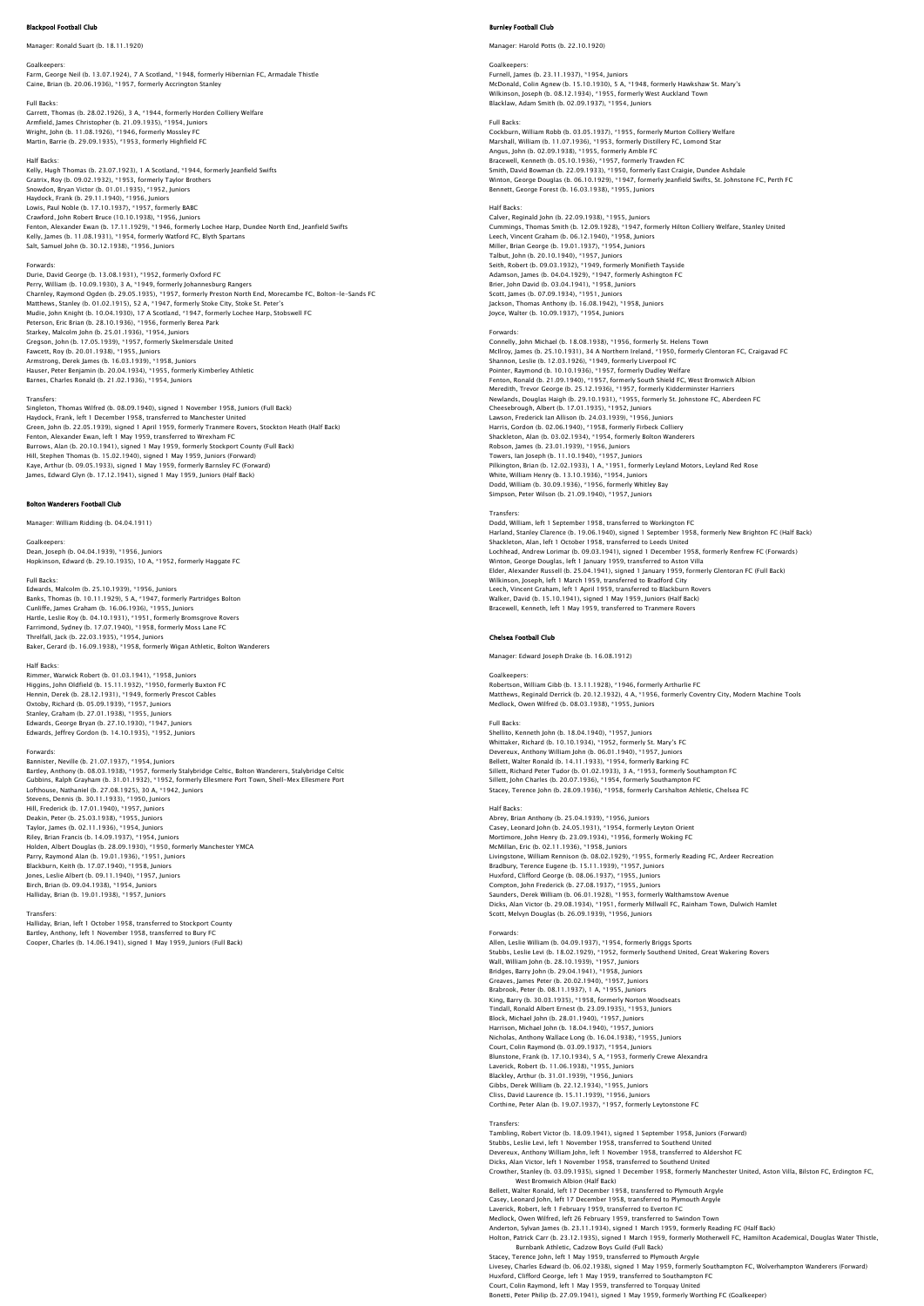### Manager: Ronald Suart (b. 18.11.1920)

Goalkeepers:<br>Farm, George Neil (b. 13.07.1924), 7 A Scotland, \*1948, formerly Hibernian FC, Armadale Thistle<br>Caine, Brian (b. 20.06.1936), \*1957, formerly Accrington Stanley

Full Backs: Garrett, Thomas (b. 28.02.1926), 3 A, \*1944, formerly Horden Colliery Welfare Armfield, James Christopher (b. 21.09.1935), \*1954, Juniors Wright, John (b. 11.08.1926), \*1946, formerly Mossley FC Martin, Barrie (b. 29.09.1935), \*1953, formerly Highfield FC

Half Backs:<br>Kelly, Hugh Thomas (b. 23.07.1923), 1 A Scotland, \*1944, formerly Jeanfield Swifts Kelly, Hugh Thomas (b. 23.07.1923), 1 A Scotland, \*1944, formerly Jeanfield Swifts<br>Grativx, Roy (b. 09.02.1932), \*1953, formerly Taylor Brothers<br>Snowdon, Bryan Victor (b. 01.01.1935), \*1956, Juniors<br>Lowis, Paul Noble (b. 1

### Forwards:

Durie, David George (b. 13.08.1931), \*1952, formerly Oxford FC Perry, William (b. 10.09.1930), 3 A, \*1949, formerly Johannesburg Rangers Charnley, Raymond Ogden (b. 29.05.1935), \*1957, formerly Preston North End, Morecambe FC, Bolton-le-Sands FC<br>Matthews, Stanley (b. 01.02.1915), 52 A, \*1947, formerly Stoke City, Stoke St. Peter's<br>Mudie, John Knight (b. 10. Starkey, Malcolm John (b. 25.01.1936), \*1954, Juniors<br>Gregson, John (b. 17.05.1939), \*1957, formerly Skelmersdale United<br>Fawcett, Roy (b. 20.01.1938), \*1955, Juniors<br>Armstrong, Derek James (b. 16.03.1939), \*1958, Juniors<br>H

Transfers:<br>Singleton, Thomas Wilfred (b. 08.09.1940), signed 1 November 1958, Juniors (Full Back)<br>Haydock, Frank, left 1 December 1958, transferred to Manchester United<br>Green, John (b. 22.05.1939), signed 1 April 1959, for Burrows, Alan (b. 20.10.1941), signed 1 May 1959, formerly Stockport County (Full Back)<br>Hill, Stephen Thomas (b. 15.02.1940), signed 1 May 1959, Juniors (Forward)<br>Kaye, Arthur (b. 09.05.1933), signed 1 May 1959, formerly B

### Bolton Wanderers Football Club

Manager: William Ridding (b. 04.04.1911)

Goalkeepers: Dean, Joseph (b. 04.04.1939), \*1956, Juniors العدد العربي العربي بين المحمد المحمد العربي بين المحمد المحمد المحمد العربي.<br>Son, Edward (b. 29.10.1935), 10 A, \*1952, formerly Haggate FC

### Full Backs:

Edwards, Malcolm (b. 25.10.1939), \*1956, Juniors Banks, Thomas (b. 10.11.1929), 5 A, \*1947, formerly Partridges Bolton<br>Cunliffe, James Graham (b. 16.06.1936), \*1955, Juniors<br>Hartle, Leslie Roy (b. 04.10.1931), \*1951, formerly Bromsgrove Rovers<br>Farrimond, Sydney (b. 17.07

### Half Backs:

Rimmer, Warwick Robert (b. 01.03.1941), \*1958, Juniors Higgins, John Oldfield (b. 15.11.1932), \*1950, formerly Buxton FC Hennin, Derek (b. 28.12.1931), \*1949, formerly Prescot Cables Oxtoby, Richard (b. 05.09.1939), \*1957, Juniors<br>Stanley, Graham (b. 27.01.1938), \*1955, Juniors<br>Edwards, George Bryan (b. 27.10.1930), \*1947, Juniors<br>Edwards, Jeffrey Gordon (b. 14.10.1935), \*1952, Juniors

Forwards:<br>Barnister, Neville (b. 21.07.1937), \*1954, Juniors<br>Barniey, Anthony (b. 08.03.1938), \*1957, formerly Stalybridge Celtic, Bolton Wanderers, Stalybridge Celtic<br>Gubbins, Ralph Grayham (b. 31.01.1932), \*1952, formerl Stevens, Dennis (b. 30.11.1933), \*1950, Juniors<br>Hill, Frederick (b. 17.01.1940), \*1957, Juniors<br>Deakin, Peter (b. 25.03.1938), \*1955, Juniors<br>Taylor, James (b. 02.11.1936), \*1954, Juniors<br>Riley, Brian Francis (b. 14.09.193 Parry, Raymond Alan (b. 19.01.1936), \*1951, Juniors<br>Blackburn, Keith (b. 17.07.1940), \*1958, Juniors<br>Jones, Leslie Albert (b. 09.11.1940), \*1957, Juniors<br>Birch, Brian (b. 09.04.1938), \*1954, Juniors Halliday, Brian (b. 19.01.1938), \*1957, Juniors

Transfers: Halliday, Brian, left 1 October 1958, transferred to Stockport County Bartley, Anthony, left 1 November 1958, transferred to Bury FC Cooper, Charles (b. 14.06.1941), signed 1 May 1959, Juniors (Full Back)

### ev Football Club

Manager: Harold Potts (b. 22.10.1920)

Goalkeepers:<br>Furnell, James (b. 23.11.1937), \*1954, Juniors<br>McDonald, Colin Agnew (b. 15.10.1930), 5 A, \*1948, formerly Hawkshaw St. Mary's<br>Wilkinson, Joseph (b. 08.12.1934), \*1955, formerly West Auckland Town Blacklaw, Adam Smith (b. 02.09.1937), \*1954, Juniors

Full Backs: Cockburn, William Robb (b. 03.05.1937), \*1955, formerly Murton Colliery Welfare Marshall, William (b. 11.07.1936), \*1953, formerly Distillery FC, Lomond Star<br>Angus, John (b. 02.09.1938), \*1955, formerly Amble FC<br>Bracewell, Kenneth (b. 05.10.1936), \*1957, formerly Trawden FC<br>Smith, David Bowman (b. 22. Winton, George Douglas (b. 06.10.1929), \*1947, formerly Jeanfield Swifts, St. Johnstone FC, Perth FC Bennett, George Forest (b. 16.03.1938), \*1955, Juniors

### Half Backs:

Calver, Reginald John (b. 22.09.1938), \*1955, Juniors Cummings, Thomas Smith (b. 12.09.1928), \*1947, formerly Hilton Colliery Welfare, Stanley United Leech, Vincent Graham (b. 06.12.1940), \*1958, Juniors<br>Miller, Brian George (b. 19.01.1937), \*1954, Juniors<br>Talbut, John (b. 20.10.1940), \*1957, Juniors<br>Seith, Robert (b. 09.03.1932), \*1949, formerly Monifieth Tayside<br>Adams Scott, James (b. 07.09.1934), \*1951, Juniors Jackson, Thomas Anthony (b. 16.08.1942), \*1958, Juniors Joyce, Walter (b. 10.09.1937), \*1954, Juniors

### Forwards:

Connelly, John Michael (b. 18.08.1938), \*1956, formerly St. Helens Town McIIroy, James (b. 25.10.1931), 34 A Northern Ireland, \*1950, formerly Glentoran FC, Craigavad FC<br>Shannon, Leslie (b. 12.03.1926), \*1949, formerly Liverpool FC<br>Pointer, Raymond (b. 10.10.1936), \*1957, formerly Dudley Welfa Fenton, Ronald (b. 21.09.1940), \*1957, formerly South Shield FC, West Bromwich Albid<br>Mercellth, Trevor George (b. 25.12.1936), \*1957, formerly Kidderminster Harriers<br>Newlands, Douglas Haigh (b. 29.10.1931), \*1955, formerly

Transfers:<br>Dodd, William, left 1 September 1958, transferred to Workington FC<br>Harland, Stanley Clarence (b. 19.06.1940), signed 1 September 1958, formerly New Brighton FC (Half Back)<br>Shackleton, Alan, left 1 October 1958, Leech, Vincent Graham, left 1 April 1959, transferred to Blackburn Rovers Walker, David (b. 15.10.1941), signed 1 May 1959, Juniors (Half Back) Bracewell, Kenneth, left 1 May 1959, transferred to Tranmere Ro

### Chelsea Football Club

Manager: Edward Joseph Drake (b. 16.08.1912)

Goalkeepers: Robertson, William Gibb (b. 13.11.1928), \*1946, formerly Arthurlie FC Matthews, Reginald Derrick (b. 20.12.1932), 4 A, \*1956, formerly Coventry City, Modern Machine Tools Medlock, Owen Wilfred (b. 08.03.1938), \*1955, Juniors

# Full Backs:

Shellito, Kenneth John (b. 18.04.1940), \*1957, Juniors Whittaker, Richard (b. 10.10.1934), \*1952, formerly St. Mary's FC<br>Devereux, Anthony William John (b. 06.01.1940), \*1957, Juniors<br>Bellett, Walter Ronald (b. 14.11.1933), \*1954, formerly Barking FC<br>Sillett, Richard Peter Tud

# Half Backs

Abrey, Brian Anthony (b. 25.04.1939), \*1956, Juniors Casey, Leonard John (b. 24.05.1931), \*1954, formerly Leyton Orient Mortimore, John Henry (b. 23.09.1934), \*1956, formerly Woking FC McMillan, Eric (b. 02.11.1936), \*1958, Juniors<br>Livingstone, William Rennison (b. 08.02.1929), \*1955, formerly Reading FC, Ardeer Recreation<br>Bradbury, Terence Eugene (b. 15.11.1939), \*1955, Juniors<br>Huxford, Clifford George Dicks, Alan Victor (b. 29.08.1934), \*1951, formerly Millwall FC, Rainham Town, Dulwich Hamlet Scott, Melvyn Douglas (b. 26.09.1939), \*1956, Juniors

Forwards: Allen, Leslie William (b. 04.09.1937), \*1954, formerly Briggs Sports Stubbs, Leslie Levi (b. 18.02.1929), \*1952, formerly Southend United, Great Wakering Rovers<br>Wall, William John (b. 28.10.1939), \*1957, Juniors<br>Bridges, Barry John (b. 29.04.1941), \*1958, Juniors<br>Graeves, James Peter (b. 20 King, Barry (b. 30.03.1935), \*1958, formerly Norton Woodseats<br>Tindall, Ronald Albert Ernest (b. 23.09.1935), \*1953, Juniors<br>Block, Michael John (b. 28.01.1940), \*1957, Juniors<br>Harrison, Michael John (b. 18.04.1940), \*1957, Court, Colin Raymond (b. 03.09.1937), \*1954, Juniors<br>Blunstone, Frank (b. 17.10.1934), 5 A, \*1953, formerly Crewe Alexandra<br>Laverick, Robert (b. 11.06.1938), \*1955, Juniors<br>Blackley, Arthur (b. 31.01.1939), \*1956, Juniors Gibbs, Derek William (b. 22.12.1934), \*1955, Junio Cliss, David Laurence (b. 15.11.1939), \*1956, Juniors Corthine, Peter Alan (b. 19.07.1937), \*1957, formerly Leytonstone FC

Transfers: Tambling, Robert Victor (b. 18.09.1941), signed 1 September 1958, Juniors (Forward) Stubbs, Leslie Levi, left 1 November 1958, transferred to Southend United<br>Devereux, Anthony William John, left 1 November 1958, transferred to Aldershot FC<br>Dicks, Alan Victor, left 1 November 1958, transferred to Southend West Bromwich Albion (Half Back) Bellett, Walter Ronald, left 17 December 1958, transferred to Plymouth Argyle Casey, Leonard John, left 17 December 1958, transferred to Plymouth Argyle Laverick, Robert, left 1 February 1959, transferred to Everton FC<br>Medlock, Owen Wilfred, left 26 February 1959, transferred to Swindon Town<br>Anderton, Sylvan James (b. 23.11.1934), signed 1 March 1959, formerly Reading FC (

n Patrick Carr (b. 23.12.1935), signed 1 March 1959, formerly Motherwell FC, Hamilton Academical, Douglas Water Thistle,<br>Bacey, Terence John, left 1 May 1959, transferred to Plymouth Argyle<br>Stacey, Terence John, left 1 Ma

Court, Colin Raymond, left 1 May 1959, transferred to Torquay United

Bonetti, Peter Philip (b. 27.09.1941), signed 1 May 1959, formerly Worthing FC (Goalkeeper)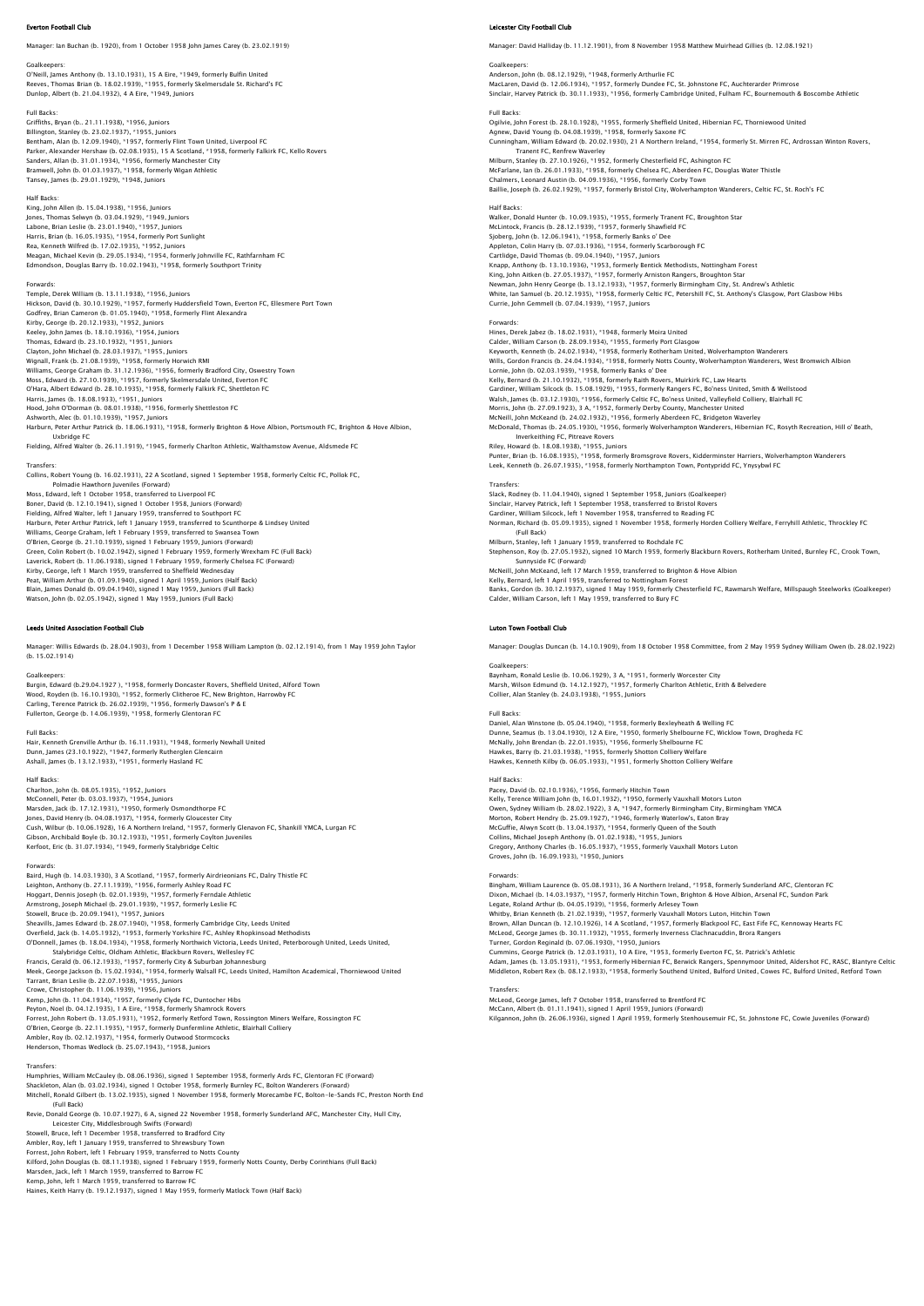### Everton Football Club

Manager: Ian Buchan (b. 1920), from 1 October 1958 John James Carey (b. 23.02.1919)

Goalkeepers:<br>O'Neill, James Anthony (b. 13.10.1931), 15 A Eire, \*1949, formerly Bulfin United<br>Reeves, Thomas Brian (b. 18.02.1939), \*1955, formerly Skelmersdale St. Richard's FC Dunlop, Albert (b. 21.04.1932), 4 A Eire, \*1949, Juniors

### Full Backs:

Griffiths, Bryan (b.. 21.11.1938), \*1956, Juniors Billington, Stanley (b. 23.02.1937), \*1955, Juniors Bentham, Alan (b. 12.09.1940), \*1957, formerly Flint Town United, Liverpool FC Parker, Alexander Hershaw (b. 02.08.1935), 15 A Scotland, \*1958, formerly Falkirk FC, Kello Rovers<br>Sanders, Allan (b. 31.01.1934), \*1956, formerly Manchester City<br>Bramwell, John (b. 01.03.1937), \*1958, formerly Wigan Athle Tansey, James (b. 29.01.1929), \*1948, Juniors

Half Backs<br>King, John Allen (b. 15.04.1938), \*1956, Juniors<br>Jones, Thomas Selwyn (b. 03.04.1929), \*1949, Juniors<br>Labone, Brian Leslie (b. 23.01.1940), \*1957, Juniors<br>Harris, Brian (b. 16.05.1935), \*1954, formerly Port Sunl

### Forwards:

Temple, Derek William (b. 13.11.1938), \*1956, Juniors Hickson, David (b. 30.10.1929), \*1957, formerly Huddersfield Town, Everton FC, Ellesmere Port Town<br>Godfrey, Brian Cameron (b. 01.05.1940), \*1958, formerly Flint Alexandra<br>Kirby, George (b. 20.12.1933), \*1952, Juniors<br>Keele Thomas, Edward (b. 23.10.1932), \*1951, Juniors<br>Clayton, John Michael (b. 28.03.1937), \*1955, Juniors<br>Wignall, Frank (b. 21.08.1939), \*1958, formerly Horwich RMI<br>Williams, George Graham (b. 31.12.1936), \*1956, formerly Brad Moss, Edward (b. 27.10.1939), \*1957, formerly Skelmersdale United, Everton FC O'Hara, Albert Edward (b. 28.10.1935), \*1958, formerly Falkirk FC, Shettleton FC Harris, James (b. 18.08.1933), \*1951, Juniors<br>Hood, John O'Dorman (b. 08.01.1938), \*1956, formerly Shettleston FC<br>Ashworth, Alec (b. 01.10.1939), \*1957, Juniors<br>Harburn, Peter Arthur Patrick (b. 18.06.1931), \*1958, formerl Uxbridge FC Fielding, Alfred Walter (b. 26.11.1919), \*1945, formerly Charlton Athletic, Walthamstow Avenue, Aldsmede FC

### Transfers:

Collins, Robert Young (b. 16.02.1931), 22 A Scotland, signed 1 September 1958, formerly Celtic FC, Pollok FC, Polmadie Hawthorn Juveniles (Forward) Moss, Edward, left 1 October 1958, transferred to Liverpool FC Boner, David (b. 12.10.1941), signed 1 October 1958, Juniors (Forward)<br>Fielding, Alfred Walter, left 1 January 1959, transferred to Southport FC<br>Harburn, Peter Arthur Patrick, left 1 January 1959, transferred to Scunthorpe Williams, George Graham, left 1 February 1959, transferred to Swansea Town O'Brien, George (b. 21.10.1939), signed 1 February 1959, Juniors (Forward)<br>Green, Colin Robert (b. 10.02.1942), signed 1 February 1959, formerly Wrexham FC (Full Back)<br>Laverick, Robert (b. 11.06.1938), signed 1 February 19 Watson, John (b. 02.05.1942), signed 1 May 1959, Juniors (Full Back)

### Leeds United Association Football Club

Manager: Willis Edwards (b. 28.04.1903), from 1 December 1958 William Lampton (b. 02.12.1914), from 1 May 1959 John Taylor (b. 15.02.1914)

Goalkeepers: Burgin, Edward (b.29.04.1927 ), \*1958, formerly Doncaster Rovers, Sheffield United, Alford Town Wood, Royden (b. 16.10.1930), \*1952, formerly Clitheroe FC, New Brighton, Harrowby FC Carling, Terence Patrick (b. 26.02.1939), \*1956, formerly Dawson's P & E Fullerton, George (b. 14.06.1939), \*1958, formerly Glentoran FC

### Full Backs:

Hair, Kenneth Grenville Arthur (b. 16.11.1931), \*1948, formerly Newhall United Dunn, James (23.10.1922), \*1947, formerly Rutherglen Glencairn Ashall, James (b. 13.12.1933), \*1951, formerly Hasland FC

### Half Backs:

Charlton, John (b. 08.05.1935), \*1952, Juniors McConnell, Peter (b. 03.03.1937), \*1954, Juniors Marsden, Jack (b. 17.12.1931), \*1950, formerly Osmondthorpe FC<br>Jones, David Henry (b. 04.08.1937), \*1954, formerly Gloucester City<br>Cush, Wibur (b. 10.06.1928), 16 A Northern Ireland, \*1957, formerly Glenavon FC, Shankill Y Kerfoot, Eric (b. 31.07.1934), \*1949, formerly Stalybridge Celtic

Forwards:<br>Baird, Hugh (b. 14.03.1930), 3 A Scotland, \*1957, formerly Airdrieonians FC, Dalry Thistle FC<br>Leighton, Anthony (b. 27.11.1939), \*1956, formerly Ashley Road FC<br>Hoggart, Dennis Joseph (b. 02.01.1939), \*1957, forme Stowell, Bruce (b. 20.09.1941), \*1957, Juniors<br>Sheavills, James Edward (b. 28.07.1940), \*1958, formerly Cambridge City, Leeds United<br>Overfield, Jack (b. 14.05.1932), \*1953, formerly Yorkshire FC, Ashley Rhopkinsoad Methodi Stalybridge Celitic, Oldham Athletic, Blackburn Rovers, Wellesley FC<br>Francis, Gerald (b. 06.12.1933), \*1957, formerly City & Suburban Johannesburg<br>Meek, George Jackson (b. 15.02.1934), \*1954, formerly Walsall FC, Leeds Uni Kemp, John (b. 11.04.1934), † 1957, formerly Clyde FC, Duntocher Hibs<br>Peyton, Noel (b. 04.1.2.1935), 1 A Eire, \*1958, formerly Shamrock Rovers<br>Forrest, John Robert (b. 13.05.1931), \*1952, formerly Retford Town, Rossington

Henderson, Thomas Wedlock (b. 25.07.1943), \*1958, Juniors

Transfers: Humphries, William McCauley (b. 08.06.1936), signed 1 September 1958, formerly Ards FC, Glentoran FC (Forward) Shackleton, Alan (b. 03.02.1934), signed 1 October 1958, formerly Burnley FC, Bolton Wanderers (Forward) Mitchell, Ronald Gilbert (b. 13.02.1935), signed 1 November 1958, formerly Morecambe FC, Bolton-le-Sands FC, Preston North End (Full Back)

Revie, Donald George (b. 10.07.1927), 6 A, signed 22 November 1958, formerly Sunderland AFC, Manchester City, Hull City,<br>Leicester City, Middlesbrough Swifts (Forward)<br>Stowell, Bruce, left 1 December 1958, transferred to B

Ambler, Roy, left 1 January 1959, transferred to Shrewsbury Town<br>Forrest, John Robert, left 1 February 1959, transferred to Notts County<br>Kilford, John Rouglas (b. 08.11.1938), signed 1 February 1959, formerly Notts County,

Kemp, John, left 1 March 1959, transferred to Barrow FC

Haines, Keith Harry (b. 19.12.1937), signed 1 May 1959, formerly Matlock Town (Half Back)

# Leicester City Football Club

Manager: David Halliday (b. 11.12.1901), from 8 November 1958 Matthew Muirhead Gillies (b. 12.08.1921)

Goalkeepers: Anderson, John (b. 08.12.1929), \*1948, formerly Arthurlie FC MacLaren, David (b. 12.06.1934), \*1957, formerly Dundee FC, St. Johnstone FC, Auchterarder Primrose Sinclair, Harvey Patrick (b. 30.11.1933), \*1956, formerly Cambridge United, Fulham FC, Bournemouth & Boscombe Athletic

Full Backs: Ogilvie, John Forest (b. 28.10.1928), \*1955, formerly Sheffield United, Hibernian FC, Thorniewood United Agnew, David Young (b. 04.08.1939), \*1958, formerly Saxone FC Cunningham, William Edward (b. 20.02.1930), 21 A Northern Ireland, \*1954, formerly St. Mirren FC, Ardrossan Winton Rovers, Tranent FC, Renfrew Waverley<br>Milburn, Stanley (b. 27.10.1926), \*1952, formerly Chesterfield FC, Ashington FC<br>McFarlane, Ian (b. 26.01.1933), \*1958, formerly Chelsea FC, Aberdeen FC, Douglas Water Thistle<br>Chalmers, Leonard Baillie, Joseph (b. 26.02.1929), \*1957, formerly Bristol City, Wolverhampton Wanderers, Celtic FC, St. Roch's FC Half Backs:

n Backs.<br>Iker, Donald Hunter (b. 10.09.1935), \*1955, formerly Tranent FC, Broughton Star McLintock, Francis (b. 28.12.1939), \*1957, formerly Shawfield FC Sjoberg, John (b. 12.06.1941), \*1958, formerly Banks o' Dee<br>Appleton, Colin Harry (b. 07.03.1936), \*1954, formerly Scarborough FC<br>Cartildge, David Thomas (b. 09.04.1940), \*1957, Juniors<br>Knapp, Anthony (b. 13.10.1936), \*195 White, Ian Samuel (b. 20.12.1935), \*1958, formerly Celtic FC, Petershill FC, St. Anthony's Glasgow, Port Glasbow Hibs Currie, John Gemmell (b. 07.04.1939), \*1957, Juniors

Forwards: Hines, Derek Jabez (b. 18.02.1931), \*1948, formerly Moira United Calder, William Carson (b. 28.09.1934), \*1955, formerly Port Clasgow<br>Keyworth, Kenneth (b. 24.02.1934), \*1958, formerly Rotherham United, Wolverhampton Wanderers<br>Wills, Gordon Francis (b. 24.04.1934), \*1958, formerly Rothe Kelly, Bernard (b. 21.10.1932), \*1958, formerly Raith Rovers, Muirkirk FC, Law Hearts Gardiner, William Silcock (b. 15.08.1929), \*1955, formerly Rangers FC, Bo'ness United, Smith & Wellstood Walsh, James (b. 03.12.1930), \*1956, formerly Celtic FC, Bo'ness United, Valleyfield Colliery, Blairhall FC<br>Morris, John (b. 27.09.1923), 3 A, \*1952, formerly Derby County, Manchester United<br>McNeill, John McKeand (b. 24.02 Inverkeithing FC, Pitreave Rovers Riley, Howard (b. 18.08.1938), \*1955, Juniors<br>Punter, Brian (b. 16.08.1935), \*1958, formerly Bromsgrove Rovers, Kidderminster Harriers, Wolverhampton Wanderers<br>Leek, Kenneth (b. 26.07.1935), \*1958, formerly Northampton Tow **Transfers** Slack, Rodney (b. 11.04.1940), signed 1 September 1958, Juniors (Goalkeeper) Sinclair, Harvey Patrick, left 1 September 1958, transferred to Bristol Rovers<br>Gardiner, William Silcock, left 1 November 1958, transferred to Reading FC<br>Norman, Richard (b. 05.09.1935), signed 1 November 1958, formerly Ho (Full Back) Milburn, Stanley, left 1 January 1959, transferred to Rochdale FC Stephenson, Roy (b. 27.05.1932), signed 10 March 1959, formerly Blackburn Rovers, Rotherham United, Burnley FC, Crook Town, Sunnyside FC (Forward) McNeill, John McKeand, left 17 March 1959, transferred to Brighton & Hove Albion

Kelly, Bernard, left 1 April 1959, transferred to Nottingham Forest<br>Banks, Gordon (b. 30.12.1937), signed 1 May 1959, formerly Chesterfield FC, Rawmarsh Welfare, Millspaugh Steelworks (Goalkeeper Calder, William Carson, left 1 May 1959, transferred to Bury FC

### Luton Town Football Club

Manager: Douglas Duncan (b. 14.10.1909), from 18 October 1958 Committee, from 2 May 1959 Sydney William Owen (b. 28.02.1922)

Goalkeepers: Baynham, Ronald Leslie (b. 10.06.1929), 3 A, \*1951, formerly Worcester City Marsh, Wilson Edmund (b. 14.12.1927), \*1957, formerly Charlton Athletic, Erith & Belvedere Collier, Alan Stanley (b. 24.03.1938), \*1955, Juniors

Full Backs: Daniel, Alan Winstone (b. 05.04.1940), \*1958, formerly Bexleyheath & Welling FC Dunne, Seamus (b. 13.04.1930), 12 A Eire, \*1950, formerly Shelbourne FC, Wicklow Town, Drogheda FC McNally, John Brendan (b. 22.01.1935), \*1956, formerly Shelbourne FC Hawkes, Barry (b. 21.03.1938), \*1955, formerly Shotton Colliery Welfare Hawkes, Kenneth Kilby (b. 06.05.1933), \*1951, formerly Shotton Colliery Welfare

### Half Backs:

nair backs:<br>Pacey, David (b. 02.10.1936), \*1956, formerly Hitchin Town<br>Kellv. Terence William John (b. 16.01.1932). \*1950. formerly Vauxhall Motors Luton Kelly, Terence William John (b, 16.01.1932), \*1950, formerly Vauxhall Motors Luton<br>Owen, Sydney William (b. 28.02.1922), 3 A, \*1947, formerly Birmingham City, Birmingham YMCA<br>Morton, Robert Hendry (b. 25.09.1927), \*1946, f Groves, John (b. 16.09.1933), \*1950, Juniors

# Forwards

Bingham, William Laurence (b. 05.08.1931), 36 A Northern Ireland, \*1958, formerly Sunderland AFC, Glentoran FC Dixon, Michael (b. 14.03.1937), \*1957, formerly Hitchin Town, Brighton & Hove Albion, Arsenal FC, Sundon Park Legate, Roland Arthur (b. 04.05.1939), \*1956, formerly Ariesey Town<br>Whitby, Brian Kenneth (b. 21.02.1939), \*1957, formerly Vauxhall Motors Luton, Hitchin Town<br>Brown, Allan Duncan (b. 12.10.1926), 14 A Scotland, \*1957, form

Cummins, George Patrick (b. 12.03.1931), 10 A Eire, \*1953, formerly Everton FC, St. Patrick's Athletic<br>Adam, James (b. 13.05.1931), \*1953, formerly Hibernian FC, Berwick Rangers, Spennymoor United, Aldershot FC, RASC, Blan

# Transfers:

McLeod, George James, left 7 October 1958, transferred to Brentford FC<br>McCann, Albert (b. 01.11.1941), signed 1 April 1959, Juniors (Forward)<br>Kilgannon, John (b. 26.06.1936), signed 1 April 1959, formerly Stenhousemuir FC,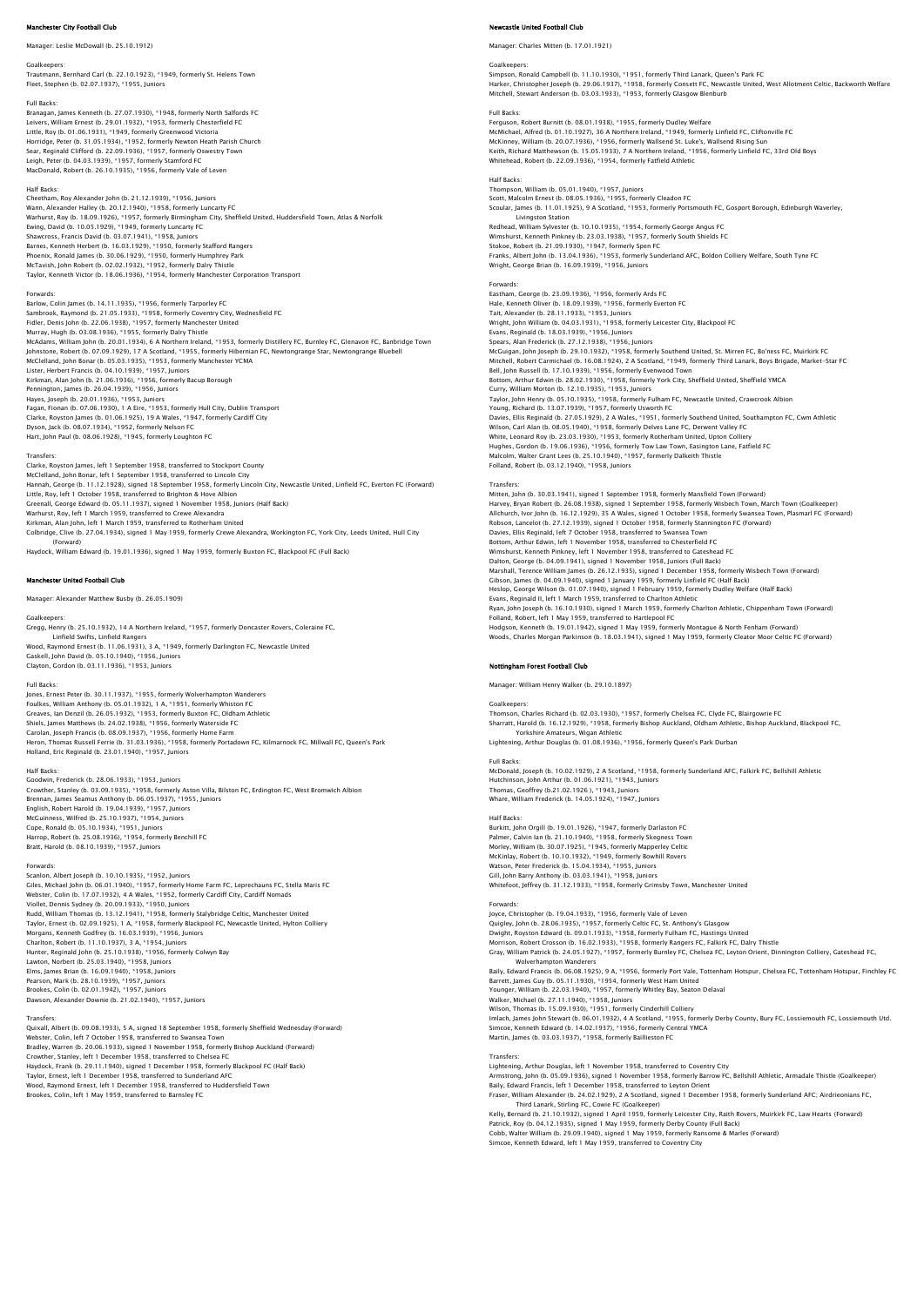### ster City Football Club

Manager: Leslie McDowall (b. 25.10.1912)

Goalkeepers: Trautmann, Bernhard Carl (b. 22.10.1923), \*1949, formerly St. Helens Town Fleet, Stephen (b. 02.07.1937), \*1955, Juniors

Full Backs:<br>Branagan, James Kenneth (b. 27.07.1930), \*1948, formerly North Salfords FC<br>Leivers, William Ernest (b. 29.01.1932), \*1953, formerly Chesterfield FC<br>Little, Roy (b. 01.06.1931), \*1949, formerly Greenwood Victori Horridge, Peter (b. 31.05.1934), \*1952, formerly Newton Heath Parish Church Sear, Reginald Clifford (b. 22.09.1936), \*1957, formerly Oswestry Town Leigh, Peter (b. 04.03.1939), \*1957, formerly Stamford FC MacDonald, Robert (b. 26.10.1935), \*1956, formerly Vale of Leven

Half Backs<br>Cheetham, Roy Alexander John (b. 21.12.1939), \*1956, Juniors<br>Wann, Alexander Halley (b. 20.12.1940), \*1958, formerly Luncarty FC<br>Wannust, Roy (b. 18.09.1926), \*1957, formerly Birmingham City, Sheffield United, H

### Forwards:

Barlow, Colin James (b. 14.11.1935), \*1956, formerly Tarporley FC<br>Sambrook, Raymond (b. 21.05.1933), \*1958, formerly Coventry City, Wednesfield FC<br>Fidler, Denis John (b. 22.06.1938), \*1957, formerly Manchester United Murray, Hugh (b. 03.08.1936), \*1955, formerly Dalry Thistle McAdams, William John (b. 20.01.1934), 6 A Northern Ireland, \*1953, formerly Distillery FC, Burnley FC, Glenavon FC, Banbridge Town<br>Johnstone, Robert (b. 07.09.1929), 17 A Scotland, \*1955, formerly Hibernian FC, Newtongran Kirkman, Alan John (b. 21.06.1936), \*1956, formerly Bacup Borough Pennington, James (b. 26.04.1939), \*1956, Juniors<br>Hayes, Joseph (b. 20.01.1936), \*1953, Juniors<br>Fagan, Fionan (b. 07.06.1930), \*1 A Eire, \*1953, formerly Hull City, Dublin Transport<br>Clarke, Royston James (b. 01.06.1925), 1

Transfers: Clarke, Royston James, left 1 September 1958, transferred to Stockport County McClelland, John Bonar, left 1 September 1958, transferred to Lincoln City<br>Hannah, George (b. 11.12.1928), signed 18 September 1958, formerly Lincoln City, Newcastle United, Linfield FC, Everton FC (Forward) Little, Roy, left 1 October 1958, transferred to Brighton & Hove Albion Greenall, George Edward (b. 05.11.1937), signed 1 November 1958, Juniors (Half Back)<br>Warhurst, Roy, left 1 March 1959, transferred to Crewe Alexandra<br>Kirkman, Alan John, left 1 March 1959, transferred to Rotherham United Colbridge, Clive (b. 27.04.1934), signed 1 May 1959, formerly Crewe Alexandra, Workington FC, York City, Leeds United, Hull City (Forward) Haydock, William Edward (b. 19.01.1936), signed 1 May 1959, formerly Buxton FC, Blackpool FC (Full Back)

### ester United Football Club

Manager: Alexander Matthew Busby (b. 26.05.1909)

Goalkeepers: Gregg, Henry (b. 25.10.1932), 14 A Northern Ireland, \*1957, formerly Doncaster Rovers, Coleraine FC, Linfield Swifts, Linfield Rangers Wood, Raymond Ernest (b. 11.06.1931), 3 A, \*1949, formerly Darlington FC, Newcastle United Gaskell, John David (b. 05.10.1940), \*1956, Juniors Clayton, Gordon (b. 03.11.1936), \*1953, Juniors

Full Backs:<br>Jones, Frnest Peter (b. 30.11.1937), \*1955, formerly Wolverhampton Wanderers Jones, Ernest Peter (b. 30.11.1937), \*1955, formerly Wolverhampton Wanderers<br>Foulkes, William Anthony (b. 05.01.1932), 1 A, \*1951, formerly Whiston FC<br>Greaves, Ian Denzil (b. 26.05.1932), \*1953, formerly Buxton FC, Oldham Holland, Eric Reginald (b. 23.01.1940), \*1957, Juniors

### Half Backs

Goodwin, Frederick (b. 28.06.1933), \*1953, Juniors Crowther, Stanley (b. 03.09.1935), \*1958, formerly Aston Villa, Bilston FC, Erdington FC, West Bromwich Albion Brennan, James Seamus Anthony (b. 06.05.1937), \*1955, Juniors English, Robert Harold (b. 19.04.1939), \*1957, Juniors<br>McGuinness, Wilfred (b. 25.10.1937), \*1954, Juniors<br>Cope, Ronald (b. 05.10.1934), \*1951, Juniors<br>Harrop, Robert (b. 25.08.1936), \*1954, formerly Benchill FC Bratt, Harold (b. 08.10.1939), \*1957, Juniors

Forwards:<br>Scanion, Albert Joseph (b. 10.10.1935), \*1952, Juniors<br>Giles, Michael John (b. 06.01.1940), \*1957, formerly Home Farm FC, Leprechauns FC, Stella Maris FC<br>Webster, Colin (b. 17.07.1932), 4 A Wales, \*1952, formerly Viollet, Dennis Sydney (b. 20.09.1933), \*1950, Juniors<br>Rudd, William Thomas (b. 13.12.1941), \*1958, formerly Stalybridge Celtic, Manchester United<br>Taylor, Ernest (b. 02.09.1925), 1 A, \*1958, formerly Blackpool FC, Newcastl Hunter, Reginald John (b. 25.10.1938), \* 1956, formerly Colwyn Bay<br>Lawton, Norbert (b. 25.03.1940), \*1958, Juniors<br>Elms, James Brian (b. 16.09.1940), \*1958, Juniors<br>Peason, Mark (b. 28.10.1939), \*1957, Juniors<br>Brookes, Col Dawson, Alexander Downie (b. 21.02.1940), \*1957, Juniors

Transfers:<br>Quixall, Albert (b. 09.08.1933), 5 A, signed 18 September 1958, formerly Sheffield Wednesday (Forward)<br>Webster, Colin, left 7 October 1958, transferred to Swansea Town Bradley, Warren (b. 20.06.1933), signed 1 November 1958, formerly Bishop Auckland (Forward)<br>Crowther, Stanley, left 1 December 1958, transferred to Chelsea FC<br>Haydock, Frank (b. 29.11.1940), signed 1 December 1958, formerl Wood, Raymond Ernest, left 1 December 1958, transferred to Huddersfield Town Brookes, Colin, left 1 May 1959, transferred to Barnsley FC

# tie United Football Club

Manager: Charles Mitten (b. 17.01.1921)

Goalkeepers:<br>Simpson, Ronald Campbell (b. 11.10.1930), \*1951, formerly Third Lanark, Queen's Park FC<br>Harker, Christopher Joseph (b. 29.06.1937), \*1958, formerly Consett FC, Newcastle United, West Allotment Celtic, Backwort Mitchell, Stewart Anderson (b. 03.03.1933), \*1953, formerly Glasgow Blenburb

# Full Backs: Ferguson, Robert Burnitt (b. 08.01.1938), \*1955, formerly Dudley Welfare McMichael, Alfred (b. 01.10.1927), 36 A Northern Ireland, \*1949, formerly Linfield FC, Cliftonville FC McKinney, William (b. 20.07.1936), \*1956, formerly Wallsend St. Luke's, Wallsend Rising Sun<br>Keith, Richard Matthewson (b. 15.05.1933), 7 A Northern Ireland, \*1956, formerly Linfield FC, 33rd Old Boys<br>Whitehead, Robert (b.

# Half Backs:

Thompson, William (b. 05.01.1940), \*1957, Juniors Scott, Malcolm Ernest (b. 08.05.1936), \*1955, formerly Cleadon FC<br>Scoular, James (b. 11.01.1925), 9 A Scotland, \*1953, formerly Portsmouth FC, Gosport Borough, Edinburgh Waverley,<br>Livingston Station Redhead, William Sylvester (b. 10.10.1935), \*1954, formerly George Angus FC Wimshurst, Kenneth Pinkney (b. 23.03.1938), \*1957, formerly South Shields FC<br>Stokoe, Robert (b. 21.09.1930), \*1947, formerly Spen FC<br>Franks, Albert John (b. 13.04.1936), \*1953, formerly Sunderland AFC, Boldon Colliery Welf Forwards: Eastham, George (b. 23.09.1936), \*1956, formerly Ards FC Hale, Kenneth Oliver (b. 18.09.1939), \*1956, formerly Everton FC<br>Tait, Alexander (b. 28.11.1933), \*1953, Juniors<br>Wright, John William (b. 04.03.1931), \*1958, formerly Leicester City, Blackpool FC<br>Evans, Reginald (b. 18.03.

Spears, Alan Frederick (b. 27.12.1938), \*1956, Juniors McGuigan, John Joseph (b. 29.10.1932), \*1958, formerly Southend United, St. Mirren FC, Bo'ness FC, Muirkirk FC Mitchell, Robert Carmichael (b. 16.08.1924), 2 A Scotland, \*1949, formerly Third Lanark, Boys Brigade, Market-Star FC<br>Bell, John Russell (b. 17.10.1939), \*1956, formerly Evenwood Town Bottom, Arthur Edwin (b. 28.02.1930), \*1958, formerly York City, Sheffield United, Sheffield YMCA Curry, William Morton (b. 12.10.1935), \*1953, Juniors Taylor, John Henry (b. 05.10.1935), \*1958, formerly Fulham FC, Newcastle United, Crawcrook Albion<br>Young, Richard (b. 13.07.1939), \*1957, formerly Usworth FC<br>Davies, Ellis Reginald (b. 27.05.1929), 2 A Wales, \*1951, formerl Hughes, Gordon (b. 19.06.1936), \*1956, formerly Tow Law Town, Easington Lane, Fatfield FC<br>Malcolm, Walter Grant Lees (b. 25.10.1940), \*1957, formerly Dalkeith Thistle<br>Folland, Robert (b. 03.12.1940), \*1958, Juniors

### **Transfers**

Mitten, John (b. 30.03.1941), signed 1 September 1958, formerly Mansfield Town (Forward)<br>Harvey, Bryan Robert (b. 26.08.1938), signed 1 September 1958, formerly Wisbech Town, March Town (Goalkeeper)<br>Allchurch, Ivor John (b Wimshurst, Kenneth Pinkney, left 1 November 1958, transferred to Gateshead FC<br>Dalton, George (b. 04.09.1941), signed 1 November 1958, Juniors (Full Back)<br>Marshall, Terence William James (b. 26.12.1935), signed 1 December 1

Manager: William Henry Walker (b. 29.10.1897)

Goalkeepers:<br>Thomson, Charles Richard (b. 02.03.1930), \*1957, formerly Chelsea FC, Clyde FC, Blairgowrie FC<br>Sharratt, Harold (b. 16.12.1929), \*1958, formerly Bishop Auckland, Oldham Athletic, Bishop Auckland, Blackpool FC, Yorkshire Amateurs, Wigan Athletic Lightening, Arthur Douglas (b. 01.08.1936), \*1956, formerly Queen's Park Durban

Full Backs:<br>McDonald, Joseph (b. 10.02.1929), 2 A Scotland, \*1958, formerly Sunderland AFC, Falkirk FC, Bellshill Athletic<br>Hutchinson, John Arthur (b. 01.06.1921), \*1943, Juniors<br>Thomas, Geoffrey (b.21.02.1926 ), \*1943, Ju Whare, William Frederick (b. 14.05.1924), \*1947, Juniors

Half Backs: Burkitt, John Orgill (b. 19.01.1926), \*1947, formerly Darlaston FC Palmer, Calvin Ian (b. 21.10.1940), \*1958, formerly Skegness Town Morley, William (b. 30.07.1925), \*1945, formerly Mapperley Celtic McKinlay, Robert (b. 10.10.1932), \*1949, formerly Bowhill Rovers<br>Watson, Peter Frederick (b. 15.04.1934), \*1955, Juniors<br>Gill, John Barry Anthony (b. 03.03.1941), \*1958, Juniors<br>Whitefoot, Jeffrey (b. 31.12.1933), \*1958, f

Forwards:<br>Joyce, Christopher (b. 19.04.1933), \*1956, formerly Vale of Leven<br>Quigley, John (b. 28.06.1935), \*1957, formerly Celtic FC, St. Anthony's Glasgow<br>Dwight, Royston Edward (b. 09.01.1933), \*1958, formerly Fulham FC, Morrison, Robert Crosson (b. 16.02.1933), \*1958, formerly Rangers FC, Falkirk FC, Dalry Thistle Gray, William Patrick (b. 24.05.1927), \*1957, formerly Burnley FC, Chelsea FC, Leyton Orient, Dinnington Colliery, Gateshead FC,<br>Baily, Edward Francis (b. 06.08.1925), 9 A, \*1956, formerly Port Vale, Tottenham Hotspur, Che Walker, Michael (b. 27.11.1940), \*1958, Juniors<br>Wilson, Thomas (b. 15.09.1930), \*1951, formerly Cinderhill Colliery<br>Imlach, James John Stewart (b. 06.01.1932), 4 A Scotland, \*1955, formerly Derby County, Bury FC, Lossiemou

Transfers:<br>Lightening, Arthur Douglas, left 1 November 1958, transferred to Coventry City<br>Armstrong, John (b. 05.09.1936), signed 1 November 1958, formerly Barrow FC, Bellshill Athletic, Armadale Thistle (Goalkeeper) Baily, Edward Francis, left 1 December 1958, transferred to Leyton Orient Fraser, William Alexander (b. 24.02.1929), 2 A Scotland, signed 1 December 1958, formerly Sunderland AFC; Airdrieonians FC, Third Lanark, Stirling FC, Cowie FC (Goalkeeper)<br>Kelly, Bernard (b. 21.10.1932), signed 1 April 1959, formerly Leicester City, Raith Rovers, Muirkirk FC, Law Hearts (Forward)<br>Patrick, Roy (b. 04.12.1935), signed 1 May 1959 Cobb, Walter William (b. 29.09.1940), signed 1 May 1959, formerly Ransome & Marles (Forward)

Simcoe, Kenneth Edward, left 1 May 1959, transferred to Coventry City

Evans, Reginald II, left 1 March 1959, transferred to Charlton Athletic Ryan, John Joseph (b. 16.10.1930), signed 1 March 1959, formerly Charlton Athletic, Chippenham Town (Forward)<br>Folland, Robert, left 1 May 1959, transferred to Hartlepool FC<br>Hodgson, Kenneth (b. 19.01.1942), signed 1 May 19 Nottingham Forest Football Club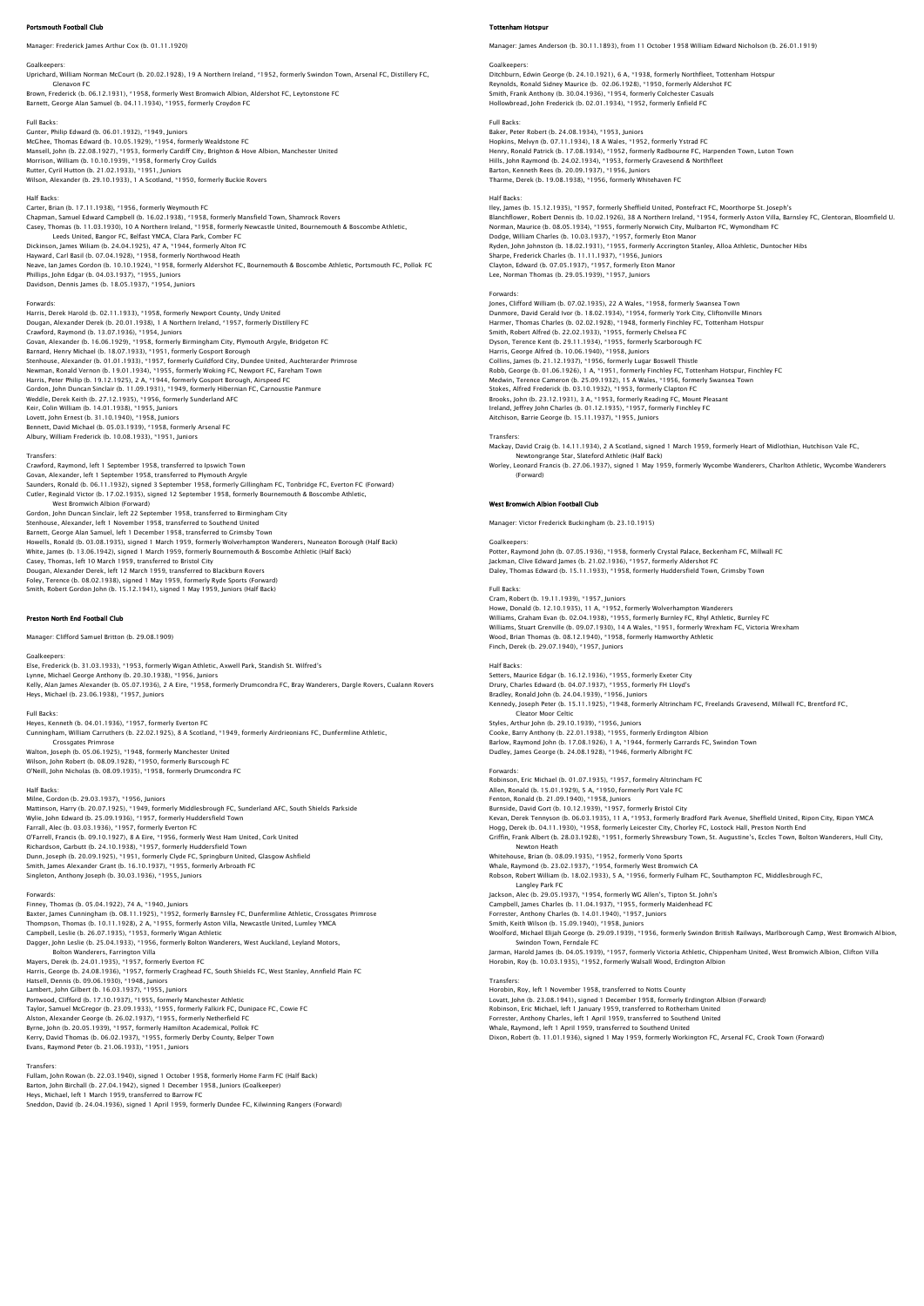# Portsmouth Football Club

Manager: Frederick James Arthur Cox (b. 01.11.1920)

Davidson, Dennis James (b. 18.05.1937), \*1954, Juniors

Goalkeepers: Uprichard, William Norman McCourt (b. 20.02.1928), 19 A Northern Ireland, \*1952, formerly Swindon Town, Arsenal FC, Distillery FC, Glenavon FC

Brown, Frederick (b. 06.12.1931), \*1958, formerly West Bromwich Albion, Aldershot FC, Leytonstone FC<br>Barnett, George Alan Samuel (b. 04.11.1934), \*1955, formerly Croydon FC

Full Backs: Gunter, Philip Edward (b. 06.01.1932), \*1949, Juniors McChee, Thomas Edward (b. 10.05.1929), \*1954, formerly Wealdstone FC<br>Mansell, John (b. 22.08.1927). \*1953, formerly Cardiff City, Brighton & Hove Albion, Manchester United<br>Morrison, William (b. 10.10.1939), \*1958, formerly

Half Backs Carter, Brian (b. 17.11.1938), \*1956, formerly Weymouth FC<br>Chapman, Samuel Edward Campbell (b. 16.02.1938), \*1958, formerly Mansfield Town, Shamrock Rovers<br>Casey, Thomas (b. 11.03.1930), 10 A Northern Ireland, \*1958, forme Leeds United, Bangor FC, Belfast YMCA, Clara Park, Comber FC<br>Dickinson, James Wiliam (b. 24.04.1925), 47 A, \*1944, formerly Alton FC<br>Hayward, Carl Basil (b. 07.04.1928), \*1958, formerly Northwood Heath<br>Neave, Ian James Gor

Forwards:<br>Harris, Derek Harold (b. 02.11.1933), \*1958, formerly Newport County, Undy United<br>Dougan, Alexander Derek (b. 20.01.1938), 1 A Northern Ireland, \*1957, formerly Distillery FC Crawford, Raymond (b. 13.07.1936), \*1954, Juniors<br>Govan, Alexander (b. 16.06.1929), \*1958, formerly Birmingham City, Plymouth Argyle, Bridgeton FC<br>Barnard, Henry Michael (b. 18.07.1933), \*1951, formerly Gosport Borough<br>Ste Gordon, John Duncan Sinclair (b. 11.09.1931), \*1949, formerly Hibernian FC, Carnoustie Panmure<br>Weddle, Derek Keith (b. 27.12.1935), \*1956, formerly Sunderland AFC<br>Keir, Colin William (b. 14.01.1938), \*1955, Juniors<br>Lovett, Albury, William Frederick (b. 10.08.1933), \*1951, Juniors

Transfers: Crawford, Raymond, left 1 September 1958, transferred to Ipswich Town Govan, Alexander, left 1 September 1958, transferred to Plymouth Argyle Saunders, Ronald (b. 06.11.1932), signed 3 September 1958, formerly Gillingham FC, Tonbridge FC, Everton FC (Forward) Cutler, Reginald Victor (b. 17.02.1935), signed 12 September 1958, formerly Bournemouth & Boscombe Athletic,<br>West Bromwich Albion (Forward) West Bromwich Albion (Forward)<br>Gordon, John Duncan Sinclair, left 22 September 1958, transferred to Birmingham City<br>Stenhouse, Alexander, left 1 November 1958, transferred to Southend United<br>Barnett, George Alan Samuel, le

### Preston North End Football Club

Manager: Clifford Samuel Britton (b. 29.08.1909)

Goalkeepers:<br>Else, Frederick (b. 31.03.1933), \*1953, formerly Wigan Athletic, Axwell Park, Standish St. Wilfred's<br>Lynne, Michael George Anthony (b. 20.30.1938), \*1956, Juniors<br>Kelly, Alan James Alexander (b. 05.07.1936), 2 Heys, Michael (b. 23.06.1938), \*1957, Juniors

Full Backs:<br>Heyes, Kenneth (b. 04.01.1936), \*1957, formerly Everton FC<br>Cunningham, William Carruthers (b. 22.02.1925), 8 A Scotland, \*1949, formerly Airdrieonians FC, Dunfermline Athletic, Crossgates Primrose

Walton, Joseph (b. 05.06.1925), \*1948, formerly Manchester United<br>Wilson, John Robert (b. 08.09.1928), \*1950, formerly Burscough FC<br>O'Neill, John Nicholas (b. 08.09.1935), \*1958, formerly Drumcondra FC

# Half Backs:<br>Milne, Cordon (b. 29.03.1937) \*1956, Juniors

Milne, Gordon (b. 29.03.1937), \*1956, Juniors<br>Mattinson, Harry (b. 20.07.1925), \*1949, formerly Middlesbrough FC, Sunderland AFC, South Shields Parkside<br>Wylie, John Edward (b. 25.09.1936), \*1957, formerly Huddersfield Town Dunn, Joseph (b. 20.09.1925), \*1951, formerly Clyde FC, Springburn United, Glasgow Ashfield<br>Smith, James Alexander Grant (b. 16.10.1937), \*1955, formerly Arbroath FC<br>Singleton, Anthony Joseph (b. 30.03.1936), \*1955, Junior

Forwards:<br>Finney, Thomas (b. 05.04.1922), 74 A, \*1940, Juniors<br>Baxter, James Cunningham (b. 08.11.1925), \*1952, formerly Barnsley FC, Dunfermline Athletic, Crossgates Primrose<br>Thompson, Thomas (b. 10.11.1928), 2 A, \*1955,

Bolton Wanderers, Farrington Villa<br>Mayers, Derek (b. 24.01.1935), \*1957, formerly Everton FC<br>Harris, George (b. 24.08.1936), \*1957, formerly Craghead FC, South Shields FC, West Stanley, Annfield Plain FC<br>Hatsell, Dennis (b Portwood, Clifford (b. 17.10.1937), \*1955, formerly Manchester Athletic<br>Taylor, Samuel McGregor (b. 23.09.1933), \*1955, formerly Falkirk FC, Dunipace FC, Cowie FC<br>Alston, Alexander George (b. 26.02.1937), \*1955, formerly N

Evans, Raymond Peter (b. 21.06.1933), \*1951, Juniors

Transfers: Fullam, John Rowan (b. 22.03.1940), signed 1 October 1958, formerly Home Farm FC (Half Back) Barton, John Birchall (b. 27.04.1942), signed 1 December 1958, Juniors (Goalkeeper) Heys, Michael, left 1 March 1959, transferred to Barrow FC .<br>eddon, David (b. 24.04.1936), signed 1 April 1959, formerly Dundee FC, Kilwinning Rangers (Forward)

### m Hots

Manager: James Anderson (b. 30.11.1893), from 11 October 1958 William Edward Nicholson (b. 26.01.1919)

Goalkeepers:<br>Ditchburn, Edwin George (b. 24.10.1921), 6 A, \*1938, formerly Northfleet, Tottenham Hotspur<br>Reynolds, Ronald Sidney Maurice (b. 02.06.1928), \*1950, formerly Aldershot FC Smith, Frank Anthony (b. 30.04.1936), \*1954, formerly Colchester Casuals Hollowbread, John Frederick (b. 02.01.1934), \*1952, formerly Enfield FC

Full Backs: Baker, Peter Robert (b. 24.08.1934), \*1953, Juniors Hopkins, Melvyn (b. 07.11.1934), 18 A Wales, \*1952, formerly Ystrad FC Henry, Ronald Patrick (b. 17.08.1934), \*1952, formerly Radbourne FC, Harpenden Town, Luton Town<br>Hills, John Raymond (b. 24.02.1934), \*1953, formerly Gravesend & Northfleet<br>Barton, Kenneth Rees (b. 20.09.1937), \*1956, Junio Tharme, Derek (b. 19.08.1938), \*1956, formerly Whitehaven FC

Half Backs:<br>Iley, James (b. 15.12.1935), \*1957, formerly Sheffield United, Pontefract FC, Moorthorpe St. Joseph's<br>Blanchflower, Robert Dennis (b. 10.02.1926), 38 A Northern Ireland, \*1954, formerly Aston Villa, Barnsley FC Sharpe, Frederick Charles (b. 11.11.1937), \*1956, Juniors Clayton, Edward (b. 07.05.1937), \*1957, formerly Eton Manor Lee, Norman Thomas (b. 29.05.1939), \*1957, Juniors

# Forwards:

Jones, Clifford William (b. 07.02.1935), 22 A Wales, \*1958, formerly Swansea Town Dunmore, David Gerald Ivor (b. 18.02.1934), \*1954, formerly York City, Cliftonville Minors Harmer, Thomas Charles (b. 02.02.1923), \*1948, formerly Finchley FC, Tottenham Hotspur<br>Smith, Robert Alfred (b. 22.02.1933), \*1955, formerly Chelsea FC<br>Dyson, Terence Kent (b. 29.11.1934), \*1955, formerly Scarborough FC<br>Ha Stokes, Alfred Frederick (b. 03.10.1932), \*1953, formerly Clapton FC Brooks, John (b. 23.12.1931), 3 A, \*1953, formerly Reading FC, Mount Pleasant<br>Ireland, Jeffrey John Charles (b. 01.12.1935), \*1957, formerly Finchley FC<br>Aitchison, Barrie George (b. 15.11.1937), \*1955, Juniors

### Transfers:

Mackay, David Craig (b. 14.11.1934), 2 A Scotland, signed 1 March 1959, formerly Heart of Midlothian, Hutchison Vale FC, Newtongrange Star, Slateford Athletic (Half Back)<br>Worley, Leonard Francis (b. 27.06.1937), signed 1 May 1959, formerly Wycombe Wanderers, Charlton Athletic, Wycombe Wanderers<br>(Forward)

# West Bromwich Albion Football Club

Manager: Victor Frederick Buckingham (b. 23.10.1915)

Goalkeepers: Potter, Raymond John (b. 07.05.1936), \*1958, formerly Crystal Palace, Beckenham FC, Millwall FC Jackman, Clive Edward James (b. 21.02.1936), \*1957, formerly Aldershot FC Daley, Thomas Edward (b. 15.11.1933), \*1958, formerly Huddersfield Town, Grimsby Town

Full Backs: Cram, Robert (b. 19.11.1939), \*1957, Juniors Howe, Donald (b. 12.10.1935), 11 A, \*1952, formerly Wolverhampton Wanderers<br>Williams, Graham Evan (b. 02.04.1938), \*1955, formerly Burnley FC, Rhyl Athletic, Burnley FC<br>Williams, Stuart Grenville (b. 09.07.1930), 14 A Wale Wood, Brian Thomas (b. 08.12.1940), \*1958, formerly Hamworthy Athletic Finch, Derek (b. 29.07.1940), \*1957, Juniors

### Half Backs:

Setters, Maurice Edgar (b. 16.12.1936), \*1955, formerly Exeter City Drury, Charles Edward (b. 04.07.1937), \*1955, formerly FH Lloyd's Bradley, Ronald John (b. 24.04.1939), \*1956, Juniors Kennedy, Joseph Peter (b. 15.11.1925), \*1948, formerly Altrincham FC, Freelands Gravesend, Millwall FC, Brentford FC,<br>Cleator Moor Celtic<br>Styles, Arthur John (b. 29.10.1939), \*1956, Juniors Cooke, Barry Anthony (b. 22.01.1938), \*1955, formerly Erdington Albion Barlow, Raymond John (b. 17.08.1926), 1 A, \*1944, formerly Garrards FC, Swindon Town Dudley, James George (b. 24.08.1928), \*1946, formerly Albright FC

### Forwards

Robinson, Eric Michael (b. 01.07.1935), \*1957, formelry Altrincham FC Allen, Ronald (b. 15.01.1929), 5 A, \*1950, formerly Port Vale FC Fenton, Ronald (b. 21.09.1940), \*1958, Juniors Burnside, David Gort (b. 10.12.1939), \*1957, formerly Bristol City<br>Kevan, Derek Tennyson (b. 06.03.1935), 11 A, \*1953, formerly Bradford Park Avenue, Sheffield United, Ripon City, Ripon YMCA<br>Hogg, Derek (b. 04.11.1930), \*1 Newton Heath Whitehouse, Brian (b. 08.09.1935), \*1952, formerly Vono Sports<br>Whale, Raymond (b. 23.02.1937), \*1954, formerly West Bromwich CA<br>Robson, Robert William (b. 18.02.1933), 5 A, \*1956, formerly Fulham FC, Southampton FC, Middle Langley Park FC Jackson, Alec (b. 29.05.1937), \*1954, formerly WG Allen's, Tipton St. John's Campbell, James Charles (b. 11.04.1937), \*1955, formerly Maidenhead FC<br>Forrester, Anthony Charles (b. 14.01.1940), \*1957, Juniors<br>Smith, Keith Wilson (b. 15.09.1940), \*1958, Juniors<br>Woolford, Michael Elijah George (b. 29.0 Jarman, Harold James (b. 04.05.1939), \*1957, formerly Victoria Athletic, Chippenham United, West Bromwich Albion, Clifton Villa<br>Horobin, Roy (b. 10.03.1935), \*1952, formerly Walsall Wood, Erdington Albion

Transfers: Horobin, Roy, left 1 November 1958, transferred to Notts County Lovati, John (b. 23.08.1941), signed 1 December 1958, formerly Erdington Albion (Forward)<br>Robinson, Eric Michael, left 1 January 1959, transferred to Rotherham United<br>Forrester, Anthony Charles, left 1 April 1959, transfer